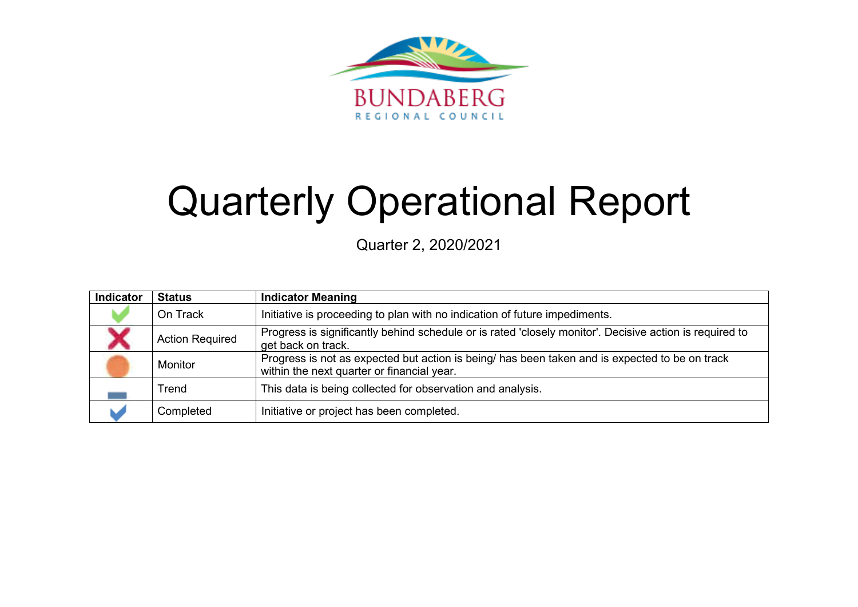

# Quarterly Operational Report

Quarter 2, 2020/2021

| Indicator | <b>Status</b>          | <b>Indicator Meaning</b>                                                                                                                     |
|-----------|------------------------|----------------------------------------------------------------------------------------------------------------------------------------------|
|           | On Track               | Initiative is proceeding to plan with no indication of future impediments.                                                                   |
|           | <b>Action Required</b> | Progress is significantly behind schedule or is rated 'closely monitor'. Decisive action is required to<br>get back on track.                |
|           | Monitor                | Progress is not as expected but action is being/ has been taken and is expected to be on track<br>within the next quarter or financial year. |
|           | Trend                  | This data is being collected for observation and analysis.                                                                                   |
|           | Completed              | Initiative or project has been completed.                                                                                                    |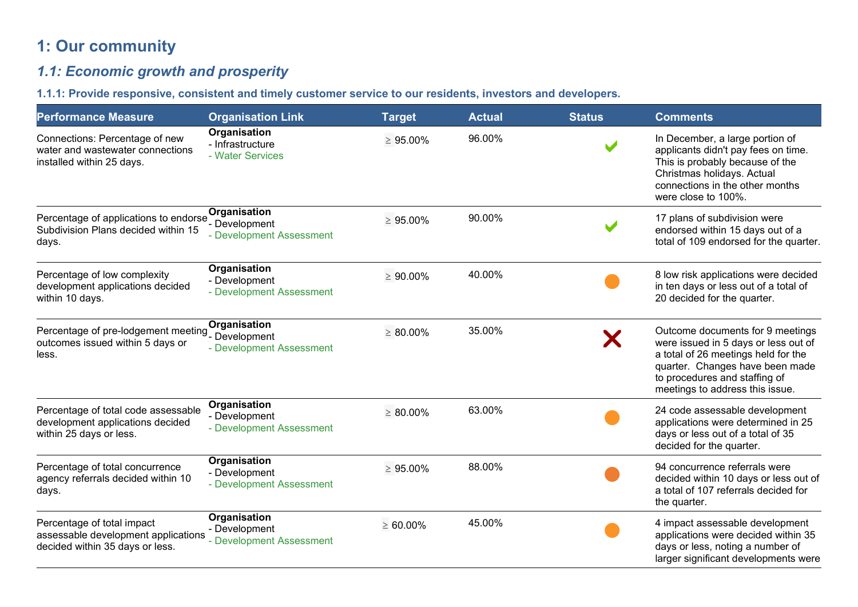# **1: Our community**

# *1.1: Economic growth and prosperity*

**1.1.1: Provide responsive, consistent and timely customer service to our residents, investors and developers.** 

| <b>Performance Measure</b>                                                                           | <b>Organisation Link</b>                                    | <b>Target</b>  | <b>Actual</b> | <b>Status</b> | <b>Comments</b>                                                                                                                                                                                                        |
|------------------------------------------------------------------------------------------------------|-------------------------------------------------------------|----------------|---------------|---------------|------------------------------------------------------------------------------------------------------------------------------------------------------------------------------------------------------------------------|
| Connections: Percentage of new<br>water and wastewater connections<br>installed within 25 days.      | <b>Organisation</b><br>- Infrastructure<br>- Water Services | $\geq 95.00\%$ | 96.00%        |               | In December, a large portion of<br>applicants didn't pay fees on time.<br>This is probably because of the<br>Christmas holidays. Actual<br>connections in the other months<br>were close to 100%.                      |
| Percentage of applications to endorse<br>Subdivision Plans decided within 15<br>days.                | Organisation<br>- Development<br>- Development Assessment   | $\geq 95.00\%$ | 90.00%        |               | 17 plans of subdivision were<br>endorsed within 15 days out of a<br>total of 109 endorsed for the quarter.                                                                                                             |
| Percentage of low complexity<br>development applications decided<br>within 10 days.                  | Organisation<br>- Development<br>- Development Assessment   | $\geq 90.00\%$ | 40.00%        |               | 8 low risk applications were decided<br>in ten days or less out of a total of<br>20 decided for the quarter.                                                                                                           |
| Percentage of pre-lodgement meeting Pevelopment<br>outcomes issued within 5 days or<br>less.         | Organisation<br>- Development Assessment                    | $\geq 80.00\%$ | 35.00%        | Х             | Outcome documents for 9 meetings<br>were issued in 5 days or less out of<br>a total of 26 meetings held for the<br>quarter. Changes have been made<br>to procedures and staffing of<br>meetings to address this issue. |
| Percentage of total code assessable<br>development applications decided<br>within 25 days or less.   | Organisation<br>- Development<br>- Development Assessment   | $\geq 80.00\%$ | 63.00%        |               | 24 code assessable development<br>applications were determined in 25<br>days or less out of a total of 35<br>decided for the quarter.                                                                                  |
| Percentage of total concurrence<br>agency referrals decided within 10<br>days.                       | Organisation<br>- Development<br>- Development Assessment   | $\geq 95.00\%$ | 88.00%        |               | 94 concurrence referrals were<br>decided within 10 days or less out of<br>a total of 107 referrals decided for<br>the quarter.                                                                                         |
| Percentage of total impact<br>assessable development applications<br>decided within 35 days or less. | Organisation<br>- Development<br>- Development Assessment   | $\geq 60.00\%$ | 45.00%        |               | 4 impact assessable development<br>applications were decided within 35<br>days or less, noting a number of<br>larger significant developments were                                                                     |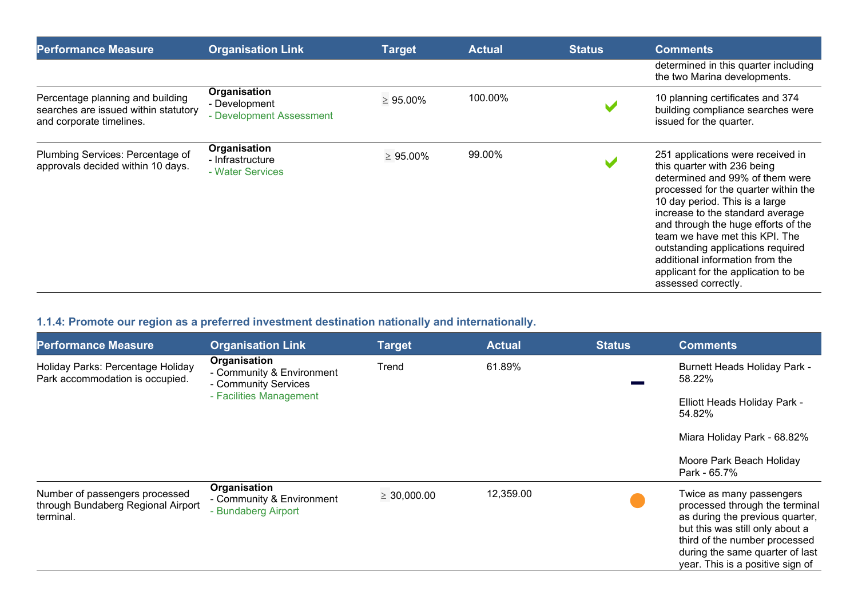| <b>Performance Measure</b>                                                                           | <b>Organisation Link</b>                                  | <b>Target</b>  | <b>Actual</b> | <b>Status</b> | <b>Comments</b>                                                                                                                                                                                                                                                                                                                                                                                                                  |
|------------------------------------------------------------------------------------------------------|-----------------------------------------------------------|----------------|---------------|---------------|----------------------------------------------------------------------------------------------------------------------------------------------------------------------------------------------------------------------------------------------------------------------------------------------------------------------------------------------------------------------------------------------------------------------------------|
|                                                                                                      |                                                           |                |               |               | determined in this quarter including<br>the two Marina developments.                                                                                                                                                                                                                                                                                                                                                             |
| Percentage planning and building<br>searches are issued within statutory<br>and corporate timelines. | Organisation<br>- Development<br>- Development Assessment | $\geq 95.00\%$ | 100.00%       |               | 10 planning certificates and 374<br>building compliance searches were<br>issued for the quarter.                                                                                                                                                                                                                                                                                                                                 |
| Plumbing Services: Percentage of<br>approvals decided within 10 days.                                | Organisation<br>- Infrastructure<br>- Water Services      | $\geq 95.00\%$ | 99.00%        |               | 251 applications were received in<br>this quarter with 236 being<br>determined and 99% of them were<br>processed for the quarter within the<br>10 day period. This is a large<br>increase to the standard average<br>and through the huge efforts of the<br>team we have met this KPI. The<br>outstanding applications required<br>additional information from the<br>applicant for the application to be<br>assessed correctly. |

# **1.1.4: Promote our region as a preferred investment destination nationally and internationally.**

| <b>Performance Measure</b>                                                        | <b>Organisation Link</b>                                                                     | <b>Target</b>    | <b>Actual</b> | <b>Status</b> | <b>Comments</b>                                                                                                                                                                                                                          |
|-----------------------------------------------------------------------------------|----------------------------------------------------------------------------------------------|------------------|---------------|---------------|------------------------------------------------------------------------------------------------------------------------------------------------------------------------------------------------------------------------------------------|
| Holiday Parks: Percentage Holiday<br>Park accommodation is occupied.              | Organisation<br>- Community & Environment<br>- Community Services<br>- Facilities Management | Trend            | 61.89%        |               | <b>Burnett Heads Holiday Park -</b><br>58.22%                                                                                                                                                                                            |
|                                                                                   |                                                                                              |                  |               |               | Elliott Heads Holiday Park -<br>54.82%                                                                                                                                                                                                   |
|                                                                                   |                                                                                              |                  |               |               | Miara Holiday Park - 68.82%                                                                                                                                                                                                              |
|                                                                                   |                                                                                              |                  |               |               | Moore Park Beach Holiday<br>Park - 65.7%                                                                                                                                                                                                 |
| Number of passengers processed<br>through Bundaberg Regional Airport<br>terminal. | Organisation<br>- Community & Environment<br>- Bundaberg Airport                             | $\geq 30,000.00$ | 12,359.00     |               | Twice as many passengers<br>processed through the terminal<br>as during the previous quarter,<br>but this was still only about a<br>third of the number processed<br>during the same quarter of last<br>year. This is a positive sign of |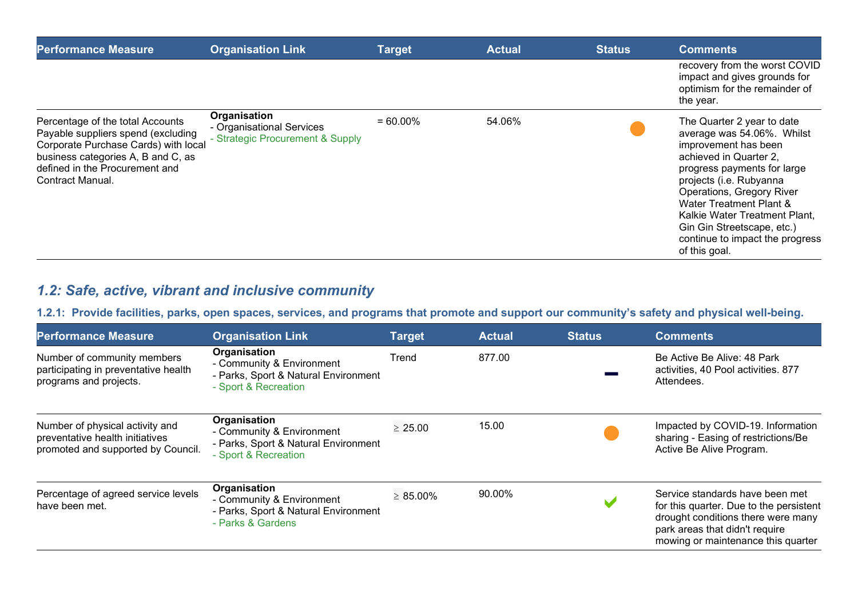| <b>Performance Measure</b>                                                                                                                                                                                 | <b>Organisation Link</b>                                                      | <b>Target</b> | <b>Actual</b> | <b>Status</b> | <b>Comments</b>                                                                                                                                                                                                                                                                                                                                 |
|------------------------------------------------------------------------------------------------------------------------------------------------------------------------------------------------------------|-------------------------------------------------------------------------------|---------------|---------------|---------------|-------------------------------------------------------------------------------------------------------------------------------------------------------------------------------------------------------------------------------------------------------------------------------------------------------------------------------------------------|
|                                                                                                                                                                                                            |                                                                               |               |               |               | recovery from the worst COVID<br>impact and gives grounds for<br>optimism for the remainder of<br>the year.                                                                                                                                                                                                                                     |
| Percentage of the total Accounts<br>Payable suppliers spend (excluding<br>Corporate Purchase Cards) with local<br>business categories A, B and C, as<br>defined in the Procurement and<br>Contract Manual. | Organisation<br>- Organisational Services<br>- Strategic Procurement & Supply | $= 60.00\%$   | 54.06%        |               | The Quarter 2 year to date<br>average was 54.06%. Whilst<br>improvement has been<br>achieved in Quarter 2.<br>progress payments for large<br>projects (i.e. Rubyanna<br>Operations, Gregory River<br>Water Treatment Plant &<br>Kalkie Water Treatment Plant,<br>Gin Gin Streetscape, etc.)<br>continue to impact the progress<br>of this goal. |

# *1.2: Safe, active, vibrant and inclusive community*

## **1.2.1: Provide facilities, parks, open spaces, services, and programs that promote and support our community's safety and physical well-being.**

| <b>Performance Measure</b>                                                                               | <b>Organisation Link</b>                                                                                  | <b>Target</b>  | <b>Actual</b> | <b>Status</b> | <b>Comments</b>                                                                                                                                                                          |
|----------------------------------------------------------------------------------------------------------|-----------------------------------------------------------------------------------------------------------|----------------|---------------|---------------|------------------------------------------------------------------------------------------------------------------------------------------------------------------------------------------|
| Number of community members<br>participating in preventative health<br>programs and projects.            | Organisation<br>- Community & Environment<br>- Parks, Sport & Natural Environment<br>- Sport & Recreation | Trend          | 877.00        |               | Be Active Be Alive: 48 Park<br>activities, 40 Pool activities. 877<br>Attendees.                                                                                                         |
| Number of physical activity and<br>preventative health initiatives<br>promoted and supported by Council. | Organisation<br>- Community & Environment<br>- Parks, Sport & Natural Environment<br>- Sport & Recreation | $\geq 25.00$   | 15.00         |               | Impacted by COVID-19. Information<br>sharing - Easing of restrictions/Be<br>Active Be Alive Program.                                                                                     |
| Percentage of agreed service levels<br>have been met.                                                    | Organisation<br>- Community & Environment<br>- Parks, Sport & Natural Environment<br>- Parks & Gardens    | $\geq 85.00\%$ | 90.00%        |               | Service standards have been met<br>for this quarter. Due to the persistent<br>drought conditions there were many<br>park areas that didn't require<br>mowing or maintenance this quarter |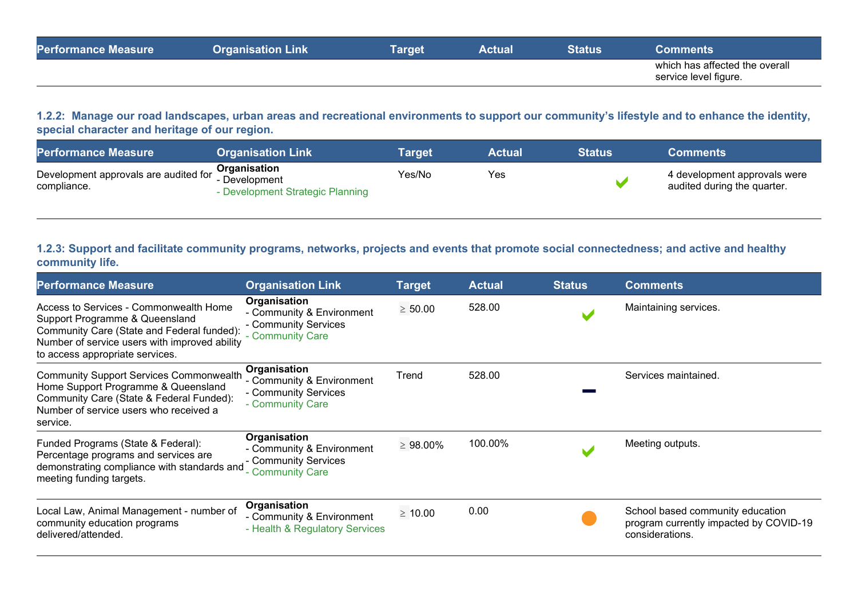| <b>Performance Measure</b> | Link<br><b>Organisation</b> | Γarget | Actual | Status | ∶omments                                                |
|----------------------------|-----------------------------|--------|--------|--------|---------------------------------------------------------|
|                            |                             |        |        |        | which has affected the overall<br>service level figure. |

**1.2.2: Manage our road landscapes, urban areas and recreational environments to support our community's lifestyle and to enhance the identity, special character and heritage of our region.**

| <b>Performance Measure</b>                                               | <b>Organisation Link</b>                          | Tarɑet | <b>Actual</b> | <b>Status</b> \ | <b>Comments</b>                                             |
|--------------------------------------------------------------------------|---------------------------------------------------|--------|---------------|-----------------|-------------------------------------------------------------|
| Development approvals are audited for <b>Organisation</b><br>compliance. | - Development<br>- Development Strategic Planning | Yes/No | Yes           |                 | 4 development approvals were<br>audited during the quarter. |

#### **1.2.3: Support and facilitate community programs, networks, projects and events that promote social connectedness; and active and healthy community life.**

| <b>Performance Measure</b>                                                                                                                                                                                 | <b>Organisation Link</b>                                                              | <b>Target</b>  | <b>Actual</b> | <b>Status</b> | <b>Comments</b>                                                                               |
|------------------------------------------------------------------------------------------------------------------------------------------------------------------------------------------------------------|---------------------------------------------------------------------------------------|----------------|---------------|---------------|-----------------------------------------------------------------------------------------------|
| Access to Services - Commonwealth Home<br>Support Programme & Queensland<br>Community Care (State and Federal funded):<br>Number of service users with improved ability<br>to access appropriate services. | Organisation<br>- Community & Environment<br>- Community Services<br>- Community Care | $\geq 50.00$   | 528.00        |               | Maintaining services.                                                                         |
| <b>Community Support Services Commonwealth</b><br>Home Support Programme & Queensland<br>Community Care (State & Federal Funded):<br>Number of service users who received a<br>service.                    | Organisation<br>- Community & Environment<br>- Community Services<br>- Community Care | Trend          | 528.00        |               | Services maintained.                                                                          |
| Funded Programs (State & Federal):<br>Percentage programs and services are<br>demonstrating compliance with standards and<br>meeting funding targets.                                                      | Organisation<br>- Community & Environment<br>- Community Services<br>- Community Care | $\geq 98.00\%$ | 100.00%       |               | Meeting outputs.                                                                              |
| Local Law, Animal Management - number of<br>community education programs<br>delivered/attended.                                                                                                            | Organisation<br>- Community & Environment<br>- Health & Regulatory Services           | $\geq 10.00$   | 0.00          |               | School based community education<br>program currently impacted by COVID-19<br>considerations. |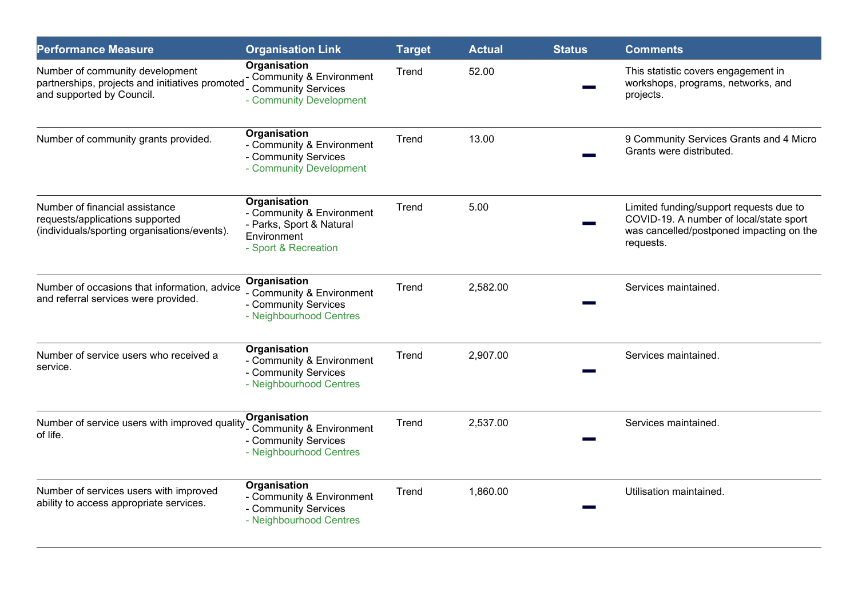| <b>Performance Measure</b>                                                                                        | <b>Organisation Link</b>                                                                                     | <b>Target</b> | <b>Actual</b> | <b>Status</b> | <b>Comments</b>                                                                                                                             |
|-------------------------------------------------------------------------------------------------------------------|--------------------------------------------------------------------------------------------------------------|---------------|---------------|---------------|---------------------------------------------------------------------------------------------------------------------------------------------|
| Number of community development<br>partnerships, projects and initiatives promoted<br>and supported by Council.   | Organisation<br>Community & Environment<br><b>Community Services</b><br>- Community Development              | Trend         | 52.00         |               | This statistic covers engagement in<br>workshops, programs, networks, and<br>projects.                                                      |
| Number of community grants provided.                                                                              | Organisation<br>- Community & Environment<br>- Community Services<br>- Community Development                 | Trend         | 13.00         |               | 9 Community Services Grants and 4 Micro<br>Grants were distributed.                                                                         |
| Number of financial assistance<br>requests/applications supported<br>(individuals/sporting organisations/events). | Organisation<br>- Community & Environment<br>- Parks, Sport & Natural<br>Environment<br>- Sport & Recreation | Trend         | 5.00          |               | Limited funding/support requests due to<br>COVID-19. A number of local/state sport<br>was cancelled/postponed impacting on the<br>requests. |
| Number of occasions that information, advice<br>and referral services were provided.                              | Organisation<br>- Community & Environment<br>- Community Services<br>- Neighbourhood Centres                 | Trend         | 2,582.00      |               | Services maintained.                                                                                                                        |
| Number of service users who received a<br>service.                                                                | Organisation<br>- Community & Environment<br>- Community Services<br>- Neighbourhood Centres                 | Trend         | 2,907.00      |               | Services maintained.                                                                                                                        |
| Number of service users with improved quality<br>of life.                                                         | Organisation<br>- Community & Environment<br>- Community Services<br>- Neighbourhood Centres                 | Trend         | 2,537.00      |               | Services maintained.                                                                                                                        |
| Number of services users with improved<br>ability to access appropriate services.                                 | Organisation<br>- Community & Environment<br>- Community Services<br>- Neighbourhood Centres                 | Trend         | 1,860.00      |               | Utilisation maintained.                                                                                                                     |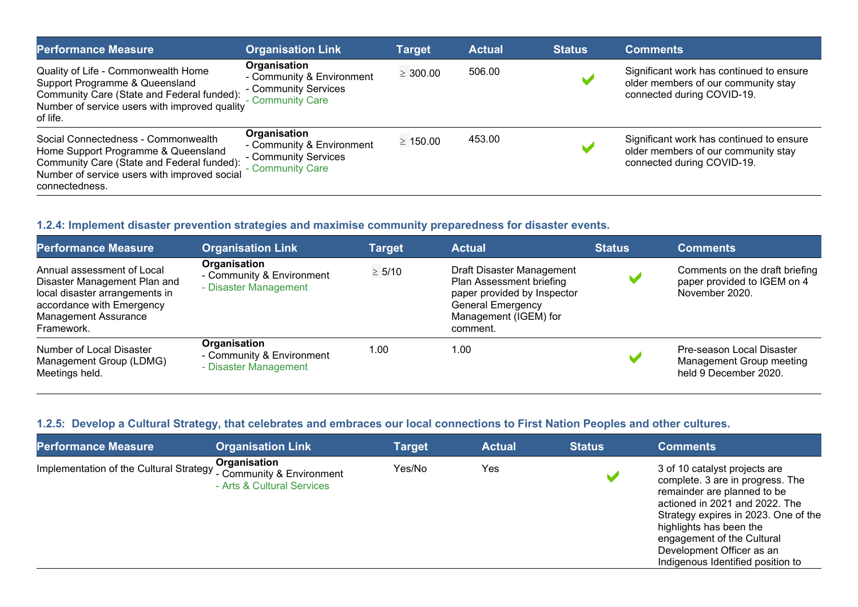| <b>Performance Measure</b>                                                                                                                                                                 | <b>Organisation Link</b>                                                              | Target        | <b>Actual</b> | <b>Status</b>         | <b>Comments</b>                                                                                               |
|--------------------------------------------------------------------------------------------------------------------------------------------------------------------------------------------|---------------------------------------------------------------------------------------|---------------|---------------|-----------------------|---------------------------------------------------------------------------------------------------------------|
| Quality of Life - Commonwealth Home<br>Support Programme & Queensland<br>Community Care (State and Federal funded):<br>Number of service users with improved quality<br>of life.           | Organisation<br>- Community & Environment<br>- Community Services<br>- Community Care | $\geq 300.00$ | 506.00        | $\blacksquare$        | Significant work has continued to ensure<br>older members of our community stay<br>connected during COVID-19. |
| Social Connectedness - Commonwealth<br>Home Support Programme & Queensland<br>Community Care (State and Federal funded):<br>Number of service users with improved social<br>connectedness. | Organisation<br>- Community & Environment<br>- Community Services<br>- Community Care | $\geq 150.00$ | 453.00        | $\blacktriangleright$ | Significant work has continued to ensure<br>older members of our community stay<br>connected during COVID-19. |

## **1.2.4: Implement disaster prevention strategies and maximise community preparedness for disaster events.**

| <b>Performance Measure</b>                                                                                                                                             | <b>Organisation Link</b>                                           | <b>Target</b> | <b>Actual</b>                                                                                                                                         | <b>Status</b> | <b>Comments</b>                                                                 |
|------------------------------------------------------------------------------------------------------------------------------------------------------------------------|--------------------------------------------------------------------|---------------|-------------------------------------------------------------------------------------------------------------------------------------------------------|---------------|---------------------------------------------------------------------------------|
| Annual assessment of Local<br>Disaster Management Plan and<br>local disaster arrangements in<br>accordance with Emergency<br><b>Management Assurance</b><br>Framework. | Organisation<br>- Community & Environment<br>- Disaster Management | $\geq 5/10$   | Draft Disaster Management<br>Plan Assessment briefing<br>paper provided by Inspector<br><b>General Emergency</b><br>Management (IGEM) for<br>comment. |               | Comments on the draft briefing<br>paper provided to IGEM on 4<br>November 2020. |
| Number of Local Disaster<br>Management Group (LDMG)<br>Meetings held.                                                                                                  | Organisation<br>- Community & Environment<br>- Disaster Management | 1.00          | 1.00                                                                                                                                                  |               | Pre-season Local Disaster<br>Management Group meeting<br>held 9 December 2020.  |

## **1.2.5: Develop a Cultural Strategy, that celebrates and embraces our local connections to First Nation Peoples and other cultures.**

| <b>Performance Measure</b>              | <b>Organisation Link</b>                                                | Target | <b>Actual</b> | <b>Status</b>         | <b>Comments</b>                                                                                                                                                                                                                                                                                       |
|-----------------------------------------|-------------------------------------------------------------------------|--------|---------------|-----------------------|-------------------------------------------------------------------------------------------------------------------------------------------------------------------------------------------------------------------------------------------------------------------------------------------------------|
| Implementation of the Cultural Strategy | Organisation<br>- Community & Environment<br>- Arts & Cultural Services | Yes/No | Yes           | $\blacktriangleright$ | 3 of 10 catalyst projects are<br>complete. 3 are in progress. The<br>remainder are planned to be<br>actioned in 2021 and 2022. The<br>Strategy expires in 2023. One of the<br>highlights has been the<br>engagement of the Cultural<br>Development Officer as an<br>Indigenous Identified position to |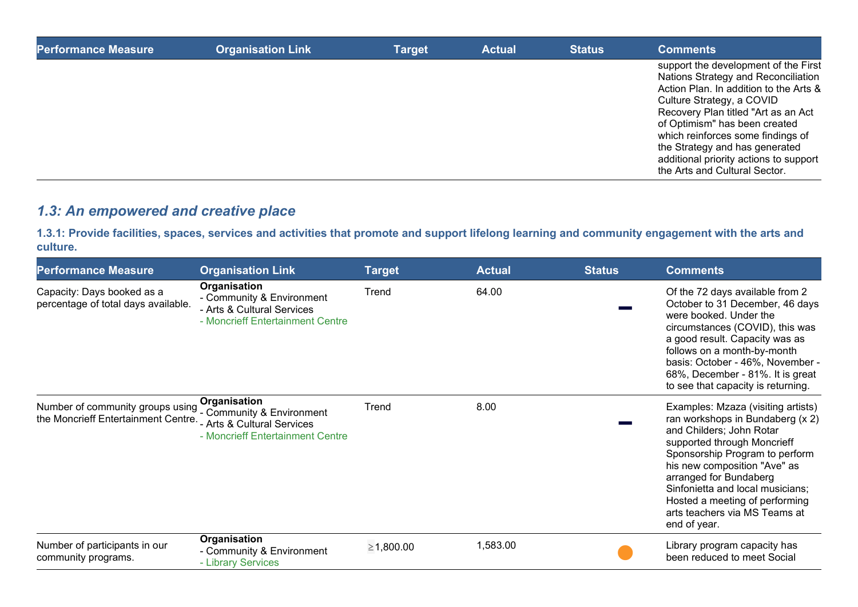| <b>Performance Measure</b> | <b>Organisation Link</b> | <b>Target</b> | <b>Actual</b> | <b>Status</b> | <b>Comments</b>                                                                                                                                                                                                                                                                                                                                                              |
|----------------------------|--------------------------|---------------|---------------|---------------|------------------------------------------------------------------------------------------------------------------------------------------------------------------------------------------------------------------------------------------------------------------------------------------------------------------------------------------------------------------------------|
|                            |                          |               |               |               | support the development of the First<br>Nations Strategy and Reconciliation<br>Action Plan. In addition to the Arts &<br>Culture Strategy, a COVID<br>Recovery Plan titled "Art as an Act<br>of Optimism" has been created<br>which reinforces some findings of<br>the Strategy and has generated<br>additional priority actions to support<br>the Arts and Cultural Sector. |

# *1.3: An empowered and creative place*

**1.3.1: Provide facilities, spaces, services and activities that promote and support lifelong learning and community engagement with the arts and culture.**

| <b>Performance Measure</b>                                                                      | <b>Organisation Link</b>                                                                                    | <b>Target</b> | <b>Actual</b> | <b>Status</b> | <b>Comments</b>                                                                                                                                                                                                                                                                                                                                      |
|-------------------------------------------------------------------------------------------------|-------------------------------------------------------------------------------------------------------------|---------------|---------------|---------------|------------------------------------------------------------------------------------------------------------------------------------------------------------------------------------------------------------------------------------------------------------------------------------------------------------------------------------------------------|
| Capacity: Days booked as a<br>percentage of total days available.                               | Organisation<br>- Community & Environment<br>- Arts & Cultural Services<br>- Moncrieff Entertainment Centre | Trend         | 64.00         |               | Of the 72 days available from 2<br>October to 31 December, 46 days<br>were booked. Under the<br>circumstances (COVID), this was<br>a good result. Capacity was as<br>follows on a month-by-month<br>basis: October - 46%, November -<br>68%, December - 81%. It is great<br>to see that capacity is returning.                                       |
| Number of community groups using Community & Environment<br>the Moncrieff Entertainment Centre. | Organisation<br>- Arts & Cultural Services<br>- Moncrieff Entertainment Centre                              | Trend         | 8.00          |               | Examples: Mzaza (visiting artists)<br>ran workshops in Bundaberg (x 2)<br>and Childers; John Rotar<br>supported through Moncrieff<br>Sponsorship Program to perform<br>his new composition "Ave" as<br>arranged for Bundaberg<br>Sinfonietta and local musicians;<br>Hosted a meeting of performing<br>arts teachers via MS Teams at<br>end of year. |
| Number of participants in our<br>community programs.                                            | Organisation<br>- Community & Environment<br>- Library Services                                             | ≥1,800.00     | 1,583.00      |               | Library program capacity has<br>been reduced to meet Social                                                                                                                                                                                                                                                                                          |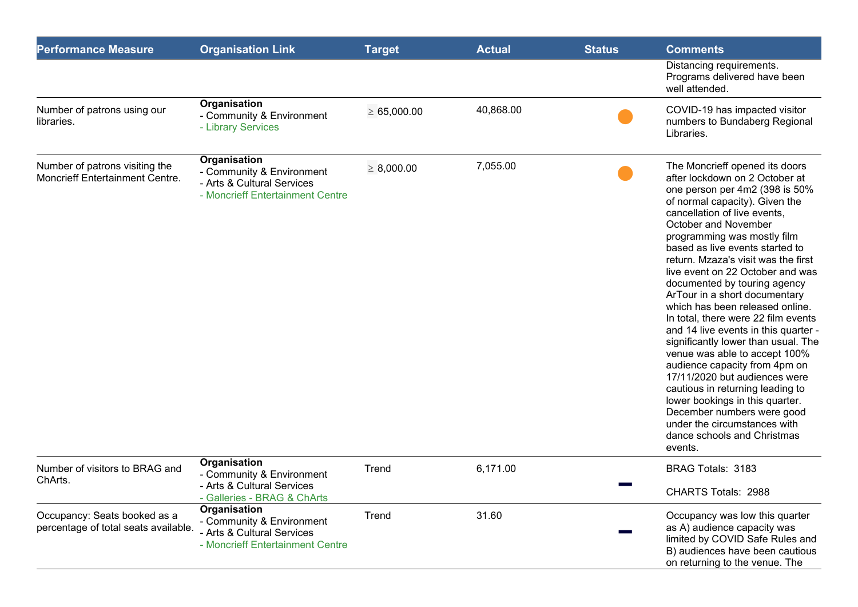| <b>Performance Measure</b>                                           | <b>Organisation Link</b>                                                                                    | <b>Target</b>    | <b>Actual</b> | <b>Status</b> | <b>Comments</b>                                                                                                                                                                                                                                                                                                                                                                                                                                                                                                                                                                                                                                                                                                                                                                                                                                       |
|----------------------------------------------------------------------|-------------------------------------------------------------------------------------------------------------|------------------|---------------|---------------|-------------------------------------------------------------------------------------------------------------------------------------------------------------------------------------------------------------------------------------------------------------------------------------------------------------------------------------------------------------------------------------------------------------------------------------------------------------------------------------------------------------------------------------------------------------------------------------------------------------------------------------------------------------------------------------------------------------------------------------------------------------------------------------------------------------------------------------------------------|
|                                                                      |                                                                                                             |                  |               |               | Distancing requirements.<br>Programs delivered have been<br>well attended.                                                                                                                                                                                                                                                                                                                                                                                                                                                                                                                                                                                                                                                                                                                                                                            |
| Number of patrons using our<br>libraries.                            | Organisation<br>- Community & Environment<br>- Library Services                                             | $\geq 65,000.00$ | 40,868.00     |               | COVID-19 has impacted visitor<br>numbers to Bundaberg Regional<br>Libraries.                                                                                                                                                                                                                                                                                                                                                                                                                                                                                                                                                                                                                                                                                                                                                                          |
| Number of patrons visiting the<br>Moncrieff Entertainment Centre.    | Organisation<br>- Community & Environment<br>- Arts & Cultural Services<br>- Moncrieff Entertainment Centre | $\geq 8,000.00$  | 7,055.00      |               | The Moncrieff opened its doors<br>after lockdown on 2 October at<br>one person per 4m2 (398 is 50%<br>of normal capacity). Given the<br>cancellation of live events,<br>October and November<br>programming was mostly film<br>based as live events started to<br>return. Mzaza's visit was the first<br>live event on 22 October and was<br>documented by touring agency<br>ArTour in a short documentary<br>which has been released online.<br>In total, there were 22 film events<br>and 14 live events in this quarter -<br>significantly lower than usual. The<br>venue was able to accept 100%<br>audience capacity from 4pm on<br>17/11/2020 but audiences were<br>cautious in returning leading to<br>lower bookings in this quarter.<br>December numbers were good<br>under the circumstances with<br>dance schools and Christmas<br>events. |
| Number of visitors to BRAG and<br>ChArts.                            | Organisation<br>- Community & Environment<br>- Arts & Cultural Services<br>- Galleries - BRAG & ChArts      | Trend            | 6,171.00      |               | BRAG Totals: 3183<br>CHARTS Totals: 2988                                                                                                                                                                                                                                                                                                                                                                                                                                                                                                                                                                                                                                                                                                                                                                                                              |
| Occupancy: Seats booked as a<br>percentage of total seats available. | Organisation<br>- Community & Environment<br>- Arts & Cultural Services<br>- Moncrieff Entertainment Centre | Trend            | 31.60         |               | Occupancy was low this quarter<br>as A) audience capacity was<br>limited by COVID Safe Rules and<br>B) audiences have been cautious<br>on returning to the venue. The                                                                                                                                                                                                                                                                                                                                                                                                                                                                                                                                                                                                                                                                                 |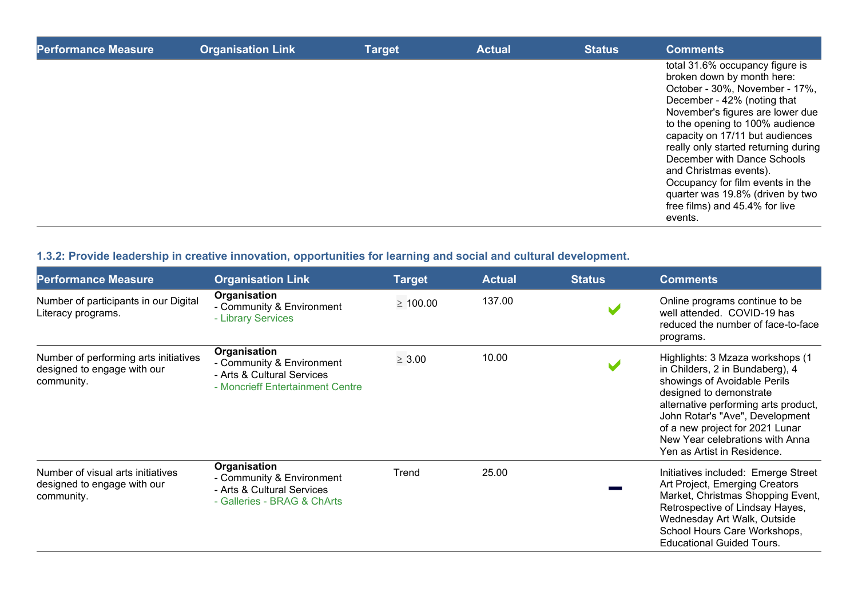| <b>Performance Measure</b> | <b>Organisation Link</b> | <b>Target</b> | <b>Actual</b> | <b>Status</b> | <b>Comments</b>                                                                                                                                                                                                                                                                                                                                                                                                                                                |
|----------------------------|--------------------------|---------------|---------------|---------------|----------------------------------------------------------------------------------------------------------------------------------------------------------------------------------------------------------------------------------------------------------------------------------------------------------------------------------------------------------------------------------------------------------------------------------------------------------------|
|                            |                          |               |               |               | total 31.6% occupancy figure is<br>broken down by month here:<br>October - 30%, November - 17%,<br>December - 42% (noting that<br>November's figures are lower due<br>to the opening to 100% audience<br>capacity on 17/11 but audiences<br>really only started returning during<br>December with Dance Schools<br>and Christmas events).<br>Occupancy for film events in the<br>quarter was 19.8% (driven by two<br>free films) and 45.4% for live<br>events. |

## **1.3.2: Provide leadership in creative innovation, opportunities for learning and social and cultural development.**

| <b>Performance Measure</b>                                                         | <b>Organisation Link</b>                                                                                    | <b>Target</b> | <b>Actual</b> | <b>Status</b> | <b>Comments</b>                                                                                                                                                                                                                                                                                                |
|------------------------------------------------------------------------------------|-------------------------------------------------------------------------------------------------------------|---------------|---------------|---------------|----------------------------------------------------------------------------------------------------------------------------------------------------------------------------------------------------------------------------------------------------------------------------------------------------------------|
| Number of participants in our Digital<br>Literacy programs.                        | Organisation<br>- Community & Environment<br>- Library Services                                             | $\geq 100.00$ | 137.00        |               | Online programs continue to be<br>well attended. COVID-19 has<br>reduced the number of face-to-face<br>programs.                                                                                                                                                                                               |
| Number of performing arts initiatives<br>designed to engage with our<br>community. | Organisation<br>- Community & Environment<br>- Arts & Cultural Services<br>- Moncrieff Entertainment Centre | $\geq 3.00$   | 10.00         |               | Highlights: 3 Mzaza workshops (1<br>in Childers, 2 in Bundaberg), 4<br>showings of Avoidable Perils<br>designed to demonstrate<br>alternative performing arts product,<br>John Rotar's "Ave", Development<br>of a new project for 2021 Lunar<br>New Year celebrations with Anna<br>Yen as Artist in Residence. |
| Number of visual arts initiatives<br>designed to engage with our<br>community.     | Organisation<br>- Community & Environment<br>- Arts & Cultural Services<br>- Galleries - BRAG & ChArts      | Trend         | 25.00         |               | Initiatives included: Emerge Street<br>Art Project, Emerging Creators<br>Market, Christmas Shopping Event,<br>Retrospective of Lindsay Hayes,<br>Wednesday Art Walk, Outside<br>School Hours Care Workshops,<br><b>Educational Guided Tours.</b>                                                               |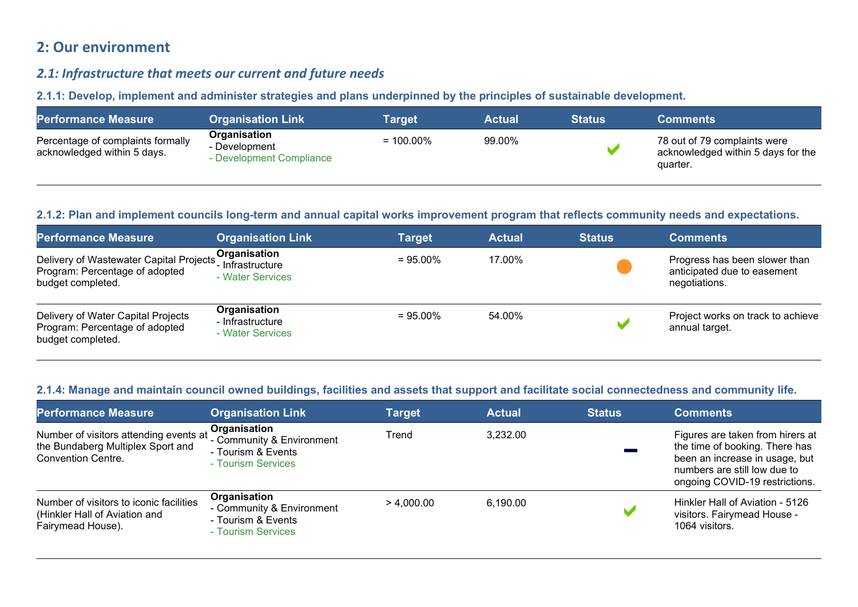# **2: Our environment**

## *2.1: Infrastructure that meets our current and future needs*

**2.1.1: Develop, implement and administer strategies and plans underpinned by the principles of sustainable development.** 

| <b>Performance Measure</b>                                       | <b>Organisation Link</b>                                  | Target       | <b>Actual</b> | <b>Status</b> | <b>Comments</b>                                                                |
|------------------------------------------------------------------|-----------------------------------------------------------|--------------|---------------|---------------|--------------------------------------------------------------------------------|
| Percentage of complaints formally<br>acknowledged within 5 days. | Organisation<br>- Development<br>- Development Compliance | $= 100.00\%$ | 99.00%        |               | 78 out of 79 complaints were<br>acknowledged within 5 days for the<br>quarter. |

#### **2.1.2: Plan and implement councils long-term and annual capital works improvement program that reflects community needs and expectations.**

| <b>Performance Measure</b>                                                                     | <b>Organisation Link</b>                             | <b>Target</b> | <b>Actual</b> | <b>Status</b> | <b>Comments</b>                                                               |
|------------------------------------------------------------------------------------------------|------------------------------------------------------|---------------|---------------|---------------|-------------------------------------------------------------------------------|
| Delivery of Wastewater Capital Projects<br>Program: Percentage of adopted<br>budget completed. | Organisation<br>- Infrastructure<br>- Water Services | $= 95.00\%$   | 17.00%        |               | Progress has been slower than<br>anticipated due to easement<br>negotiations. |
| Delivery of Water Capital Projects<br>Program: Percentage of adopted<br>budget completed.      | Organisation<br>- Infrastructure<br>- Water Services | $= 95.00\%$   | 54.00%        |               | Project works on track to achieve<br>annual target.                           |

#### **2.1.4: Manage and maintain council owned buildings, facilities and assets that support and facilitate social connectedness and community life.**

| <b>Performance Measure</b>                                                                               | <b>Organisation Link</b>                                                              | <b>Target</b> | <b>Actual</b> | <b>Status</b>  | <b>Comments</b>                                                                                                                                                        |
|----------------------------------------------------------------------------------------------------------|---------------------------------------------------------------------------------------|---------------|---------------|----------------|------------------------------------------------------------------------------------------------------------------------------------------------------------------------|
| Number of visitors attending events at<br>the Bundaberg Multiplex Sport and<br><b>Convention Centre.</b> | Organisation<br>- Community & Environment<br>- Tourism & Events<br>- Tourism Services | Trend         | 3,232.00      |                | Figures are taken from hirers at<br>the time of booking. There has<br>been an increase in usage, but<br>numbers are still low due to<br>ongoing COVID-19 restrictions. |
| Number of visitors to iconic facilities<br>(Hinkler Hall of Aviation and<br>Fairymead House).            | Organisation<br>- Community & Environment<br>- Tourism & Events<br>- Tourism Services | > 4.000.00    | 6,190.00      | $\blacksquare$ | Hinkler Hall of Aviation - 5126<br>visitors. Fairymead House -<br>1064 visitors.                                                                                       |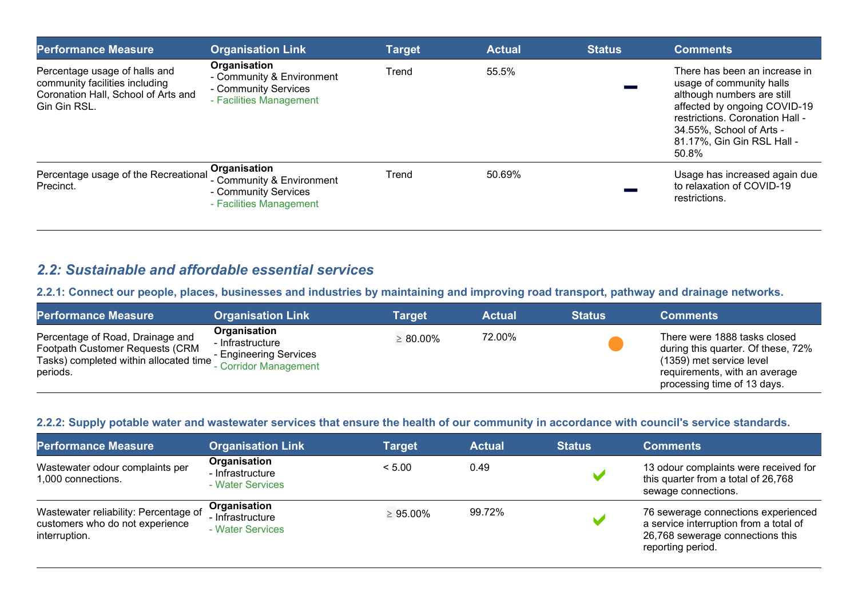| <b>Performance Measure</b>                                                                                             | <b>Organisation Link</b>                                                                     | <b>Target</b> | <b>Actual</b> | <b>Status</b> | <b>Comments</b>                                                                                                                                                                                                               |
|------------------------------------------------------------------------------------------------------------------------|----------------------------------------------------------------------------------------------|---------------|---------------|---------------|-------------------------------------------------------------------------------------------------------------------------------------------------------------------------------------------------------------------------------|
| Percentage usage of halls and<br>community facilities including<br>Coronation Hall, School of Arts and<br>Gin Gin RSL. | Organisation<br>- Community & Environment<br>- Community Services<br>- Facilities Management | Trend         | 55.5%         |               | There has been an increase in<br>usage of community halls<br>although numbers are still<br>affected by ongoing COVID-19<br>restrictions. Coronation Hall -<br>34.55%, School of Arts -<br>81.17%, Gin Gin RSL Hall -<br>50.8% |
| Percentage usage of the Recreational<br>Precinct.                                                                      | Organisation<br>- Community & Environment<br>- Community Services<br>- Facilities Management | Trend         | 50.69%        |               | Usage has increased again due<br>to relaxation of COVID-19<br>restrictions.                                                                                                                                                   |

## *2.2: Sustainable and affordable essential services*

**2.2.1: Connect our people, places, businesses and industries by maintaining and improving road transport, pathway and drainage networks.** 

| <b>Performance Measure</b>                                                                                                | <b>Organisation Link</b>                                                            | <b>Target</b>  | <b>Actual</b> | <b>Status</b> | <b>Comments</b>                                                                                                                                                |
|---------------------------------------------------------------------------------------------------------------------------|-------------------------------------------------------------------------------------|----------------|---------------|---------------|----------------------------------------------------------------------------------------------------------------------------------------------------------------|
| Percentage of Road, Drainage and<br>Footpath Customer Requests (CRM<br>Tasks) completed within allocated time<br>periods. | Organisation<br>- Infrastructure<br>- Engineering Services<br>- Corridor Management | $\geq 80.00\%$ | 72.00%        |               | There were 1888 tasks closed<br>during this quarter. Of these, 72%<br>(1359) met service level<br>requirements, with an average<br>processing time of 13 days. |

#### **2.2.2: Supply potable water and wastewater services that ensure the health of our community in accordance with council's service standards.**

| <b>Performance Measure</b>                                                                | <b>Organisation Link</b>                             | <b>Target</b>  | <b>Actual</b> | <b>Status</b> | <b>Comments</b>                                                                                                                        |
|-------------------------------------------------------------------------------------------|------------------------------------------------------|----------------|---------------|---------------|----------------------------------------------------------------------------------------------------------------------------------------|
| Wastewater odour complaints per<br>1,000 connections.                                     | Organisation<br>- Infrastructure<br>- Water Services | < 5.00         | 0.49          |               | 13 odour complaints were received for<br>this quarter from a total of 26,768<br>sewage connections.                                    |
| Wastewater reliability: Percentage of<br>customers who do not experience<br>interruption. | Organisation<br>- Infrastructure<br>- Water Services | $\geq 95.00\%$ | 99.72%        |               | 76 sewerage connections experienced<br>a service interruption from a total of<br>26,768 sewerage connections this<br>reporting period. |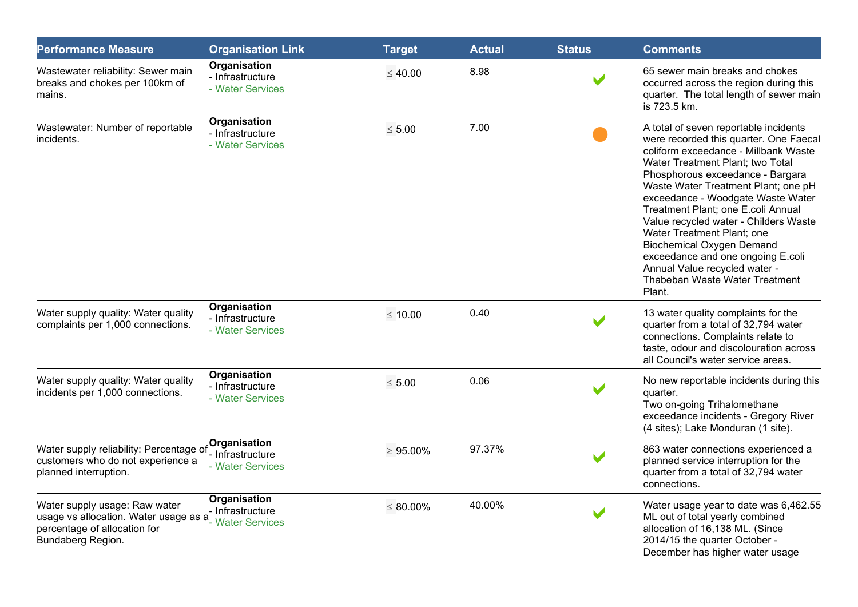| <b>Performance Measure</b>                                                                                                  | <b>Organisation Link</b>                                  | <b>Target</b>  | <b>Actual</b> | <b>Status</b> | <b>Comments</b>                                                                                                                                                                                                                                                                                                                                                                                                                                                                                                                                |
|-----------------------------------------------------------------------------------------------------------------------------|-----------------------------------------------------------|----------------|---------------|---------------|------------------------------------------------------------------------------------------------------------------------------------------------------------------------------------------------------------------------------------------------------------------------------------------------------------------------------------------------------------------------------------------------------------------------------------------------------------------------------------------------------------------------------------------------|
| Wastewater reliability: Sewer main<br>breaks and chokes per 100km of<br>mains.                                              | Organisation<br>- Infrastructure<br>- Water Services      | $\leq 40.00$   | 8.98          |               | 65 sewer main breaks and chokes<br>occurred across the region during this<br>quarter. The total length of sewer main<br>is 723.5 km.                                                                                                                                                                                                                                                                                                                                                                                                           |
| Wastewater: Number of reportable<br>incidents.                                                                              | Organisation<br>- Infrastructure<br>- Water Services      | $\leq 5.00$    | 7.00          |               | A total of seven reportable incidents<br>were recorded this quarter. One Faecal<br>coliform exceedance - Millbank Waste<br>Water Treatment Plant; two Total<br>Phosphorous exceedance - Bargara<br>Waste Water Treatment Plant; one pH<br>exceedance - Woodgate Waste Water<br>Treatment Plant; one E.coli Annual<br>Value recycled water - Childers Waste<br>Water Treatment Plant; one<br><b>Biochemical Oxygen Demand</b><br>exceedance and one ongoing E.coli<br>Annual Value recycled water -<br>Thabeban Waste Water Treatment<br>Plant. |
| Water supply quality: Water quality<br>complaints per 1,000 connections.                                                    | Organisation<br>- Infrastructure<br>- Water Services      | $\leq 10.00$   | 0.40          |               | 13 water quality complaints for the<br>quarter from a total of 32,794 water<br>connections. Complaints relate to<br>taste, odour and discolouration across<br>all Council's water service areas.                                                                                                                                                                                                                                                                                                                                               |
| Water supply quality: Water quality<br>incidents per 1,000 connections.                                                     | Organisation<br>- Infrastructure<br>- Water Services      | $\leq 5.00$    | 0.06          |               | No new reportable incidents during this<br>quarter.<br>Two on-going Trihalomethane<br>exceedance incidents - Gregory River<br>(4 sites); Lake Monduran (1 site).                                                                                                                                                                                                                                                                                                                                                                               |
| Water supply reliability: Percentage of<br>customers who do not experience a<br>planned interruption.                       | Organisation<br>- Infrastructure<br>- Water Services      | $\geq 95.00\%$ | 97.37%        |               | 863 water connections experienced a<br>planned service interruption for the<br>quarter from a total of 32,794 water<br>connections.                                                                                                                                                                                                                                                                                                                                                                                                            |
| Water supply usage: Raw water<br>usage vs allocation. Water usage as a<br>percentage of allocation for<br>Bundaberg Region. | Organisation<br>- Infrastructure<br><b>Water Services</b> | $\leq 80.00\%$ | 40.00%        |               | Water usage year to date was 6,462.55<br>ML out of total yearly combined<br>allocation of 16,138 ML. (Since<br>2014/15 the quarter October -<br>December has higher water usage                                                                                                                                                                                                                                                                                                                                                                |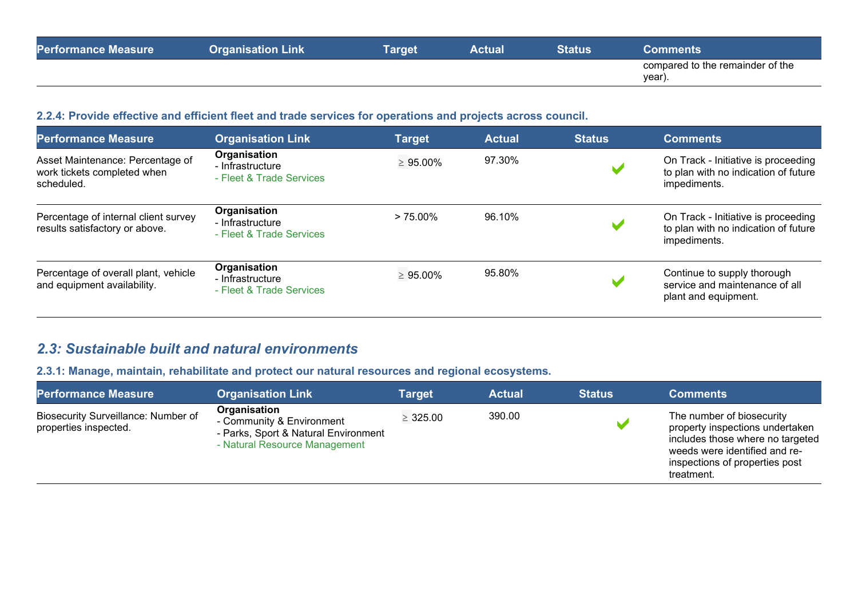| <b>Performance Measure</b> | <b>Organisation Link</b> | <b>Target</b> | <b>Actual</b> | Status' | Comments                                   |
|----------------------------|--------------------------|---------------|---------------|---------|--------------------------------------------|
|                            |                          |               |               |         | compared to the remainder of the<br>year). |

## **2.2.4: Provide effective and efficient fleet and trade services for operations and projects across council.**

| <b>Performance Measure</b>                                                    | <b>Organisation Link</b>                                     | Target         | <b>Actual</b> | <b>Status</b> | <b>Comments</b>                                                                             |
|-------------------------------------------------------------------------------|--------------------------------------------------------------|----------------|---------------|---------------|---------------------------------------------------------------------------------------------|
| Asset Maintenance: Percentage of<br>work tickets completed when<br>scheduled. | Organisation<br>- Infrastructure<br>- Fleet & Trade Services | $\geq 95.00\%$ | 97.30%        |               | On Track - Initiative is proceeding<br>to plan with no indication of future<br>impediments. |
| Percentage of internal client survey<br>results satisfactory or above.        | Organisation<br>- Infrastructure<br>- Fleet & Trade Services | $> 75.00\%$    | 96.10%        |               | On Track - Initiative is proceeding<br>to plan with no indication of future<br>impediments. |
| Percentage of overall plant, vehicle<br>and equipment availability.           | Organisation<br>- Infrastructure<br>- Fleet & Trade Services | $\geq 95.00\%$ | 95.80%        |               | Continue to supply thorough<br>service and maintenance of all<br>plant and equipment.       |

## *2.3: Sustainable built and natural environments*

**2.3.1: Manage, maintain, rehabilitate and protect our natural resources and regional ecosystems.**

| <b>Performance Measure</b>                                   | <b>Organisation Link</b>                                                                                           | <b>Target</b> | <b>Actual</b> | <b>Status</b> | <b>Comments</b>                                                                                                                                                                   |
|--------------------------------------------------------------|--------------------------------------------------------------------------------------------------------------------|---------------|---------------|---------------|-----------------------------------------------------------------------------------------------------------------------------------------------------------------------------------|
| Biosecurity Surveillance: Number of<br>properties inspected. | Organisation<br>- Community & Environment<br>- Parks, Sport & Natural Environment<br>- Natural Resource Management | $\geq 325.00$ | 390.00        |               | The number of biosecurity<br>property inspections undertaken<br>includes those where no targeted<br>weeds were identified and re-<br>inspections of properties post<br>treatment. |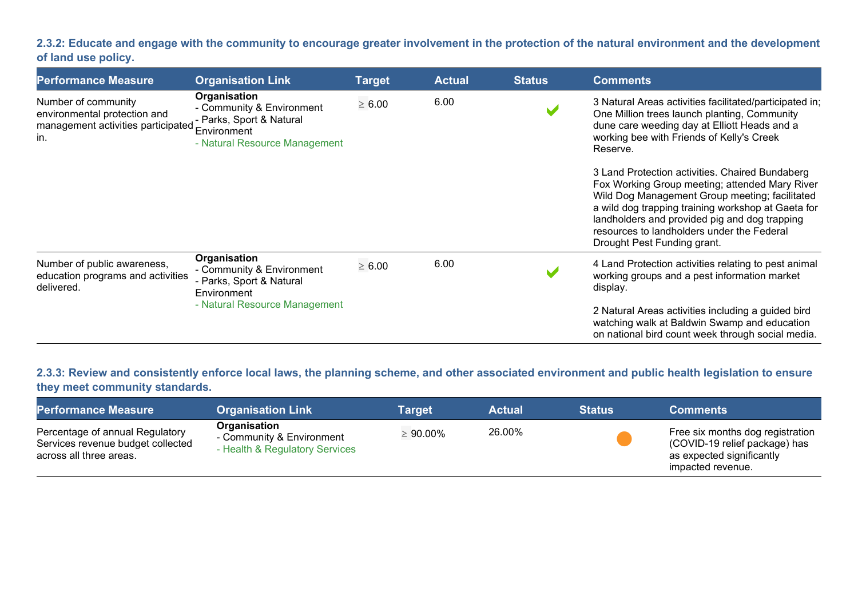**2.3.2: Educate and engage with the community to encourage greater involvement in the protection of the natural environment and the development of land use policy.**

| <b>Performance Measure</b>                                                                       | <b>Organisation Link</b>                                                                                              | <b>Target</b> | <b>Actual</b> | <b>Status</b> | <b>Comments</b>                                                                                                                                                                                                                                                                                                                         |
|--------------------------------------------------------------------------------------------------|-----------------------------------------------------------------------------------------------------------------------|---------------|---------------|---------------|-----------------------------------------------------------------------------------------------------------------------------------------------------------------------------------------------------------------------------------------------------------------------------------------------------------------------------------------|
| Number of community<br>environmental protection and<br>management activities participated<br>in. | Organisation<br>- Community & Environment<br>- Parks, Sport & Natural<br>Environment<br>- Natural Resource Management | $\geq 6.00$   | 6.00          |               | 3 Natural Areas activities facilitated/participated in;<br>One Million trees launch planting, Community<br>dune care weeding day at Elliott Heads and a<br>working bee with Friends of Kelly's Creek<br>Reserve.                                                                                                                        |
|                                                                                                  |                                                                                                                       |               |               |               | 3 Land Protection activities. Chaired Bundaberg<br>Fox Working Group meeting; attended Mary River<br>Wild Dog Management Group meeting; facilitated<br>a wild dog trapping training workshop at Gaeta for<br>landholders and provided pig and dog trapping<br>resources to landholders under the Federal<br>Drought Pest Funding grant. |
| Number of public awareness,<br>education programs and activities<br>delivered.                   | Organisation<br>- Community & Environment<br>- Parks, Sport & Natural<br>Environment                                  | $\geq 6.00$   | 6.00          |               | 4 Land Protection activities relating to pest animal<br>working groups and a pest information market<br>display.                                                                                                                                                                                                                        |
|                                                                                                  | - Natural Resource Management                                                                                         |               |               |               | 2 Natural Areas activities including a guided bird<br>watching walk at Baldwin Swamp and education<br>on national bird count week through social media.                                                                                                                                                                                 |

**2.3.3: Review and consistently enforce local laws, the planning scheme, and other associated environment and public health legislation to ensure they meet community standards.**

| <b>Performance Measure</b>                                                                      | <b>Organisation Link</b>                                                    | Target         | <b>Actual</b> | <b>Status</b> | Comments                                                                                                            |
|-------------------------------------------------------------------------------------------------|-----------------------------------------------------------------------------|----------------|---------------|---------------|---------------------------------------------------------------------------------------------------------------------|
| Percentage of annual Regulatory<br>Services revenue budget collected<br>across all three areas. | Organisation<br>- Community & Environment<br>- Health & Regulatory Services | $\geq 90.00\%$ | 26.00%        |               | Free six months dog registration<br>(COVID-19 relief package) has<br>as expected significantly<br>impacted revenue. |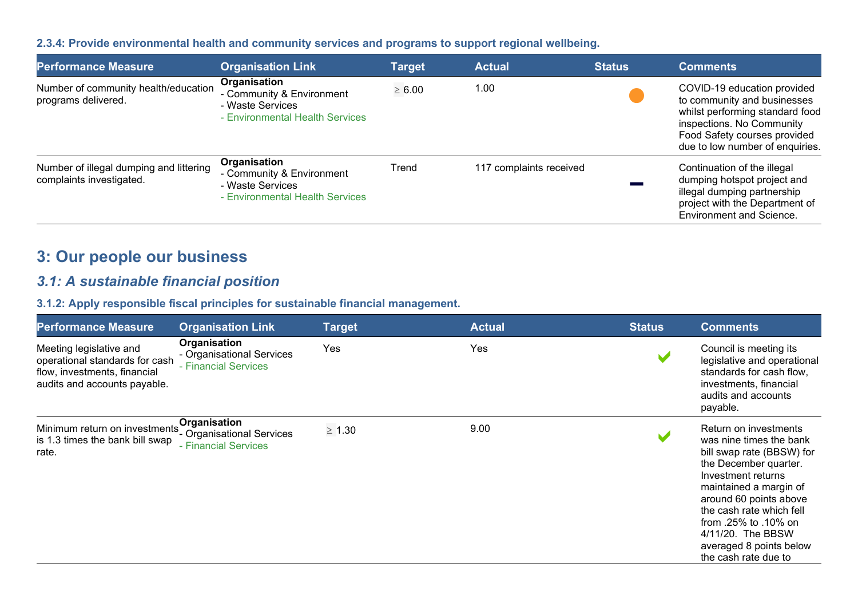## **2.3.4: Provide environmental health and community services and programs to support regional wellbeing.**

| <b>Performance Measure</b>                                          | <b>Organisation Link</b>                                                                         | <b>Target</b> | <b>Actual</b>           | <b>Status</b> | <b>Comments</b>                                                                                                                                                                               |
|---------------------------------------------------------------------|--------------------------------------------------------------------------------------------------|---------------|-------------------------|---------------|-----------------------------------------------------------------------------------------------------------------------------------------------------------------------------------------------|
| Number of community health/education<br>programs delivered.         | Organisation<br>- Community & Environment<br>- Waste Services<br>- Environmental Health Services | $\geq 6.00$   | 1.00                    |               | COVID-19 education provided<br>to community and businesses<br>whilst performing standard food<br>inspections. No Community<br>Food Safety courses provided<br>due to low number of enquiries. |
| Number of illegal dumping and littering<br>complaints investigated. | Organisation<br>- Community & Environment<br>- Waste Services<br>- Environmental Health Services | Trend         | 117 complaints received |               | Continuation of the illegal<br>dumping hotspot project and<br>illegal dumping partnership<br>project with the Department of<br><b>Environment and Science.</b>                                |

# **3: Our people our business**

# *3.1: A sustainable financial position*

#### **3.1.2: Apply responsible fiscal principles for sustainable financial management.**

| <b>Performance Measure</b>                                                                                                | <b>Organisation Link</b>                                          | <b>Target</b> | <b>Actual</b> | <b>Status</b> | <b>Comments</b>                                                                                                                                                                                                                                                                                              |
|---------------------------------------------------------------------------------------------------------------------------|-------------------------------------------------------------------|---------------|---------------|---------------|--------------------------------------------------------------------------------------------------------------------------------------------------------------------------------------------------------------------------------------------------------------------------------------------------------------|
| Meeting legislative and<br>operational standards for cash<br>flow, investments, financial<br>audits and accounts payable. | Organisation<br>- Organisational Services<br>- Financial Services | Yes           | Yes           |               | Council is meeting its<br>legislative and operational<br>standards for cash flow,<br>investments, financial<br>audits and accounts<br>payable.                                                                                                                                                               |
| Minimum return on investments'<br>is 1.3 times the bank bill swap<br>rate.                                                | Organisation<br>- Organisational Services<br>- Financial Services | $\geq 1.30$   | 9.00          |               | Return on investments<br>was nine times the bank<br>bill swap rate (BBSW) for<br>the December quarter.<br>Investment returns<br>maintained a margin of<br>around 60 points above<br>the cash rate which fell<br>from .25% to .10% on<br>4/11/20. The BBSW<br>averaged 8 points below<br>the cash rate due to |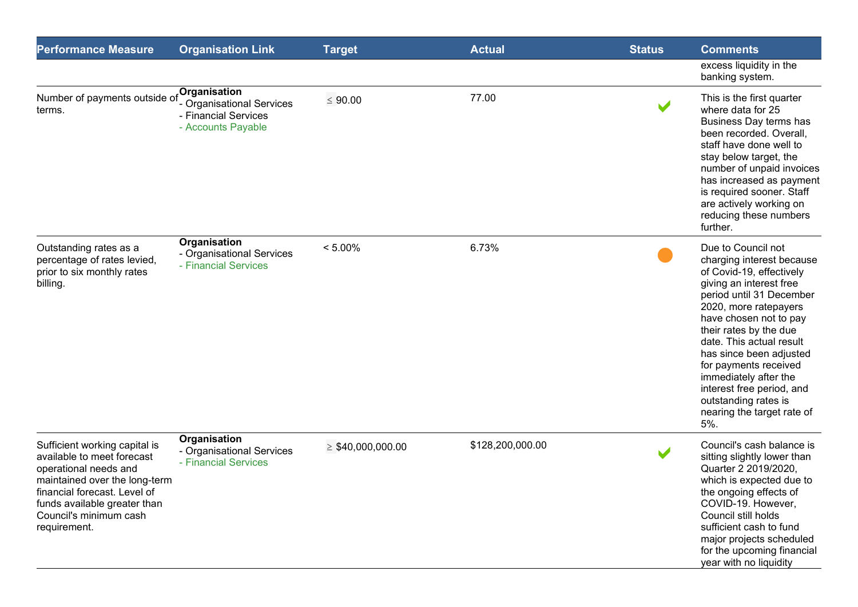| <b>Performance Measure</b>                                                                                                                                                                                                      | <b>Organisation Link</b>                                                                | <b>Target</b>          | <b>Actual</b>    | <b>Status</b>        | <b>Comments</b>                                                                                                                                                                                                                                                                                                                                                                                                    |
|---------------------------------------------------------------------------------------------------------------------------------------------------------------------------------------------------------------------------------|-----------------------------------------------------------------------------------------|------------------------|------------------|----------------------|--------------------------------------------------------------------------------------------------------------------------------------------------------------------------------------------------------------------------------------------------------------------------------------------------------------------------------------------------------------------------------------------------------------------|
|                                                                                                                                                                                                                                 |                                                                                         |                        |                  |                      | excess liquidity in the<br>banking system.                                                                                                                                                                                                                                                                                                                                                                         |
| Number of payments outside of<br>terms.                                                                                                                                                                                         | Organisation<br>- Organisational Services<br>- Financial Services<br>- Accounts Payable | $\leq 90.00$           | 77.00            | $\blacktriangledown$ | This is the first quarter<br>where data for 25<br>Business Day terms has<br>been recorded. Overall,<br>staff have done well to<br>stay below target, the<br>number of unpaid invoices<br>has increased as payment<br>is required sooner. Staff<br>are actively working on<br>reducing these numbers<br>further.                                                                                                    |
| Outstanding rates as a<br>percentage of rates levied,<br>prior to six monthly rates<br>billing.                                                                                                                                 | Organisation<br>- Organisational Services<br>- Financial Services                       | $< 5.00\%$             | 6.73%            |                      | Due to Council not<br>charging interest because<br>of Covid-19, effectively<br>giving an interest free<br>period until 31 December<br>2020, more ratepayers<br>have chosen not to pay<br>their rates by the due<br>date. This actual result<br>has since been adjusted<br>for payments received<br>immediately after the<br>interest free period, and<br>outstanding rates is<br>nearing the target rate of<br>5%. |
| Sufficient working capital is<br>available to meet forecast<br>operational needs and<br>maintained over the long-term<br>financial forecast. Level of<br>funds available greater than<br>Council's minimum cash<br>requirement. | Organisation<br>- Organisational Services<br>- Financial Services                       | $\geq$ \$40,000,000.00 | \$128,200,000.00 |                      | Council's cash balance is<br>sitting slightly lower than<br>Quarter 2 2019/2020,<br>which is expected due to<br>the ongoing effects of<br>COVID-19. However,<br>Council still holds<br>sufficient cash to fund<br>major projects scheduled<br>for the upcoming financial<br>year with no liquidity                                                                                                                 |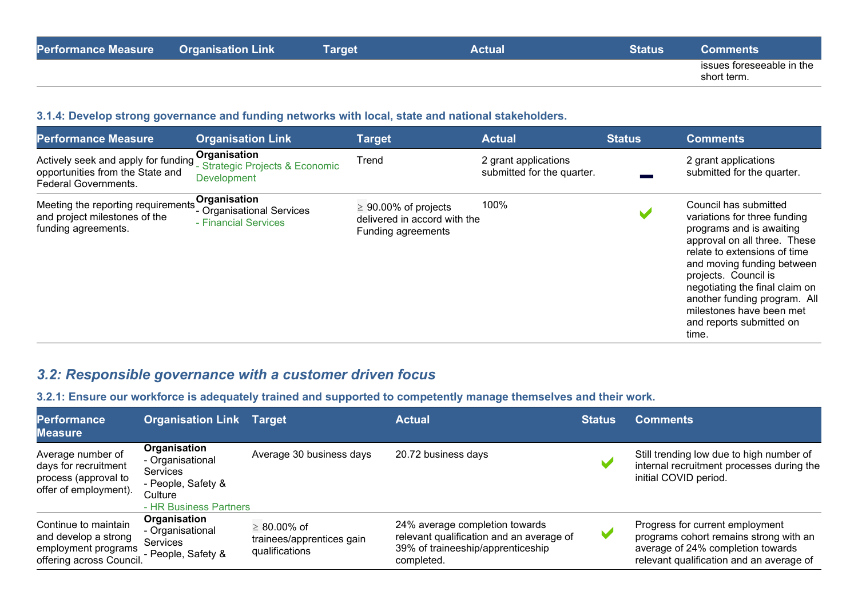| <b>Performance Measure</b> | Link<br><b>Organisation</b> | Target | Actual | Status | nments                                   |
|----------------------------|-----------------------------|--------|--------|--------|------------------------------------------|
|                            |                             |        |        |        | issues foreseeable in the<br>short term. |

#### **3.1.4: Develop strong governance and funding networks with local, state and national stakeholders.**

| <b>Performance Measure</b>                                                                             | <b>Organisation Link</b>                                              | <b>Target</b>                                                                    | <b>Actual</b>                                      | <b>Status</b> | <b>Comments</b>                                                                                                                                                                                                                                                                                                                            |
|--------------------------------------------------------------------------------------------------------|-----------------------------------------------------------------------|----------------------------------------------------------------------------------|----------------------------------------------------|---------------|--------------------------------------------------------------------------------------------------------------------------------------------------------------------------------------------------------------------------------------------------------------------------------------------------------------------------------------------|
| Actively seek and apply for funding<br>opportunities from the State and<br><b>Federal Governments.</b> | Organisation<br>- Strategic Projects & Economic<br><b>Development</b> | Trend                                                                            | 2 grant applications<br>submitted for the quarter. |               | 2 grant applications<br>submitted for the quarter.                                                                                                                                                                                                                                                                                         |
| Meeting the reporting requirements<br>and project milestones of the<br>funding agreements.             | Organisation<br>- Organisational Services<br>- Financial Services     | $\geq 90.00\%$ of projects<br>delivered in accord with the<br>Funding agreements | 100%                                               |               | Council has submitted<br>variations for three funding<br>programs and is awaiting<br>approval on all three. These<br>relate to extensions of time<br>and moving funding between<br>projects. Council is<br>negotiating the final claim on<br>another funding program. All<br>milestones have been met<br>and reports submitted on<br>time. |

# *3.2: Responsible governance with a customer driven focus*

**3.2.1: Ensure our workforce is adequately trained and supported to competently manage themselves and their work.**

| <b>Performance</b><br>Measure                                                                   | <b>Organisation Link</b>                                                                                | <b>Target</b>                                                    | <b>Actual</b>                                                                                                                 | <b>Status</b> | <b>Comments</b>                                                                                                                                            |
|-------------------------------------------------------------------------------------------------|---------------------------------------------------------------------------------------------------------|------------------------------------------------------------------|-------------------------------------------------------------------------------------------------------------------------------|---------------|------------------------------------------------------------------------------------------------------------------------------------------------------------|
| Average number of<br>days for recruitment<br>process (approval to<br>offer of employment).      | Organisation<br>- Organisational<br>Services<br>- People, Safety &<br>Culture<br>- HR Business Partners | Average 30 business days                                         | 20.72 business days                                                                                                           |               | Still trending low due to high number of<br>internal recruitment processes during the<br>initial COVID period.                                             |
| Continue to maintain<br>and develop a strong<br>employment programs<br>offering across Council. | Organisation<br>- Organisational<br>Services<br>- People, Safety &                                      | $\geq 80.00\%$ of<br>trainees/apprentices gain<br>qualifications | 24% average completion towards<br>relevant qualification and an average of<br>39% of traineeship/apprenticeship<br>completed. | M             | Progress for current employment<br>programs cohort remains strong with an<br>average of 24% completion towards<br>relevant qualification and an average of |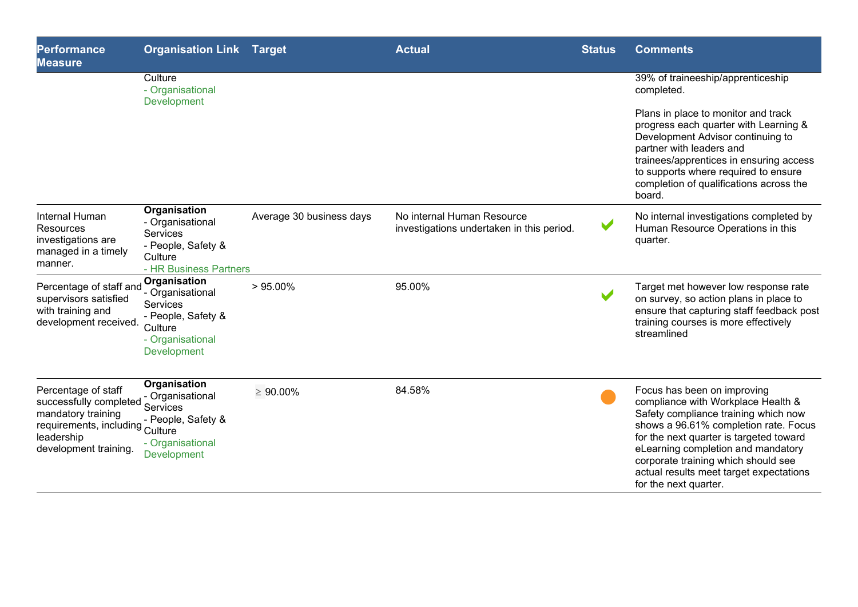| <b>Performance</b><br><b>Measure</b>                                                                                                          | <b>Organisation Link Target</b>                                                                                  |                          | <b>Actual</b>                                                           | <b>Status</b>         | <b>Comments</b>                                                                                                                                                                                                                                                                                                                                |
|-----------------------------------------------------------------------------------------------------------------------------------------------|------------------------------------------------------------------------------------------------------------------|--------------------------|-------------------------------------------------------------------------|-----------------------|------------------------------------------------------------------------------------------------------------------------------------------------------------------------------------------------------------------------------------------------------------------------------------------------------------------------------------------------|
|                                                                                                                                               | Culture<br>- Organisational<br>Development                                                                       |                          |                                                                         |                       | 39% of traineeship/apprenticeship<br>completed.                                                                                                                                                                                                                                                                                                |
|                                                                                                                                               |                                                                                                                  |                          |                                                                         |                       | Plans in place to monitor and track<br>progress each quarter with Learning &<br>Development Advisor continuing to<br>partner with leaders and<br>trainees/apprentices in ensuring access<br>to supports where required to ensure<br>completion of qualifications across the<br>board.                                                          |
| Internal Human<br>Resources<br>investigations are<br>managed in a timely<br>manner.                                                           | Organisation<br>- Organisational<br>Services<br>- People, Safety &<br>Culture<br>- HR Business Partners          | Average 30 business days | No internal Human Resource<br>investigations undertaken in this period. | $\blacktriangleright$ | No internal investigations completed by<br>Human Resource Operations in this<br>quarter.                                                                                                                                                                                                                                                       |
| Percentage of staff and<br>supervisors satisfied<br>with training and<br>development received.                                                | Organisation<br>- Organisational<br>Services<br>- People, Safety &<br>Culture<br>- Organisational<br>Development | $> 95.00\%$              | 95.00%                                                                  |                       | Target met however low response rate<br>on survey, so action plans in place to<br>ensure that capturing staff feedback post<br>training courses is more effectively<br>streamlined                                                                                                                                                             |
| Percentage of staff<br>successfully completed<br>mandatory training<br>requirements, including Culture<br>leadership<br>development training. | Organisation<br>- Organisational<br>Services<br>- People, Safety &<br>- Organisational<br>Development            | $\geq 90.00\%$           | 84.58%                                                                  |                       | Focus has been on improving<br>compliance with Workplace Health &<br>Safety compliance training which now<br>shows a 96.61% completion rate. Focus<br>for the next quarter is targeted toward<br>eLearning completion and mandatory<br>corporate training which should see<br>actual results meet target expectations<br>for the next quarter. |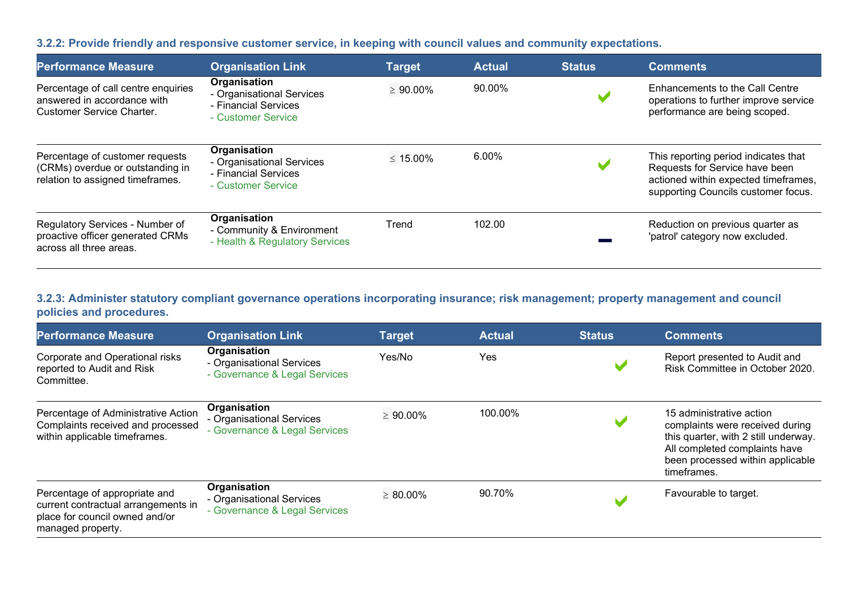#### **3.2.2: Provide friendly and responsive customer service, in keeping with council values and community expectations.**

| <b>Performance Measure</b>                                                                              | <b>Organisation Link</b>                                                                | <b>Target</b>  | <b>Actual</b> | <b>Status</b> | <b>Comments</b>                                                                                                                                       |
|---------------------------------------------------------------------------------------------------------|-----------------------------------------------------------------------------------------|----------------|---------------|---------------|-------------------------------------------------------------------------------------------------------------------------------------------------------|
| Percentage of call centre enquiries<br>answered in accordance with<br><b>Customer Service Charter.</b>  | Organisation<br>- Organisational Services<br>- Financial Services<br>- Customer Service | $\geq 90.00\%$ | 90.00%        |               | Enhancements to the Call Centre<br>operations to further improve service<br>performance are being scoped.                                             |
| Percentage of customer requests<br>(CRMs) overdue or outstanding in<br>relation to assigned timeframes. | Organisation<br>- Organisational Services<br>- Financial Services<br>- Customer Service | $\leq 15.00\%$ | $6.00\%$      |               | This reporting period indicates that<br>Requests for Service have been<br>actioned within expected timeframes,<br>supporting Councils customer focus. |
| Regulatory Services - Number of<br>proactive officer generated CRMs<br>across all three areas.          | Organisation<br>- Community & Environment<br>- Health & Regulatory Services             | Trend          | 102.00        |               | Reduction on previous quarter as<br>'patrol' category now excluded.                                                                                   |

## **3.2.3: Administer statutory compliant governance operations incorporating insurance; risk management; property management and council policies and procedures.**

| <b>Performance Measure</b>                                                                                                  | <b>Organisation Link</b>                                                   | <b>Target</b>  | <b>Actual</b> | <b>Status</b> | <b>Comments</b>                                                                                                                                                                         |
|-----------------------------------------------------------------------------------------------------------------------------|----------------------------------------------------------------------------|----------------|---------------|---------------|-----------------------------------------------------------------------------------------------------------------------------------------------------------------------------------------|
| Corporate and Operational risks<br>reported to Audit and Risk<br>Committee.                                                 | Organisation<br>- Organisational Services<br>- Governance & Legal Services | Yes/No         | Yes           |               | Report presented to Audit and<br>Risk Committee in October 2020.                                                                                                                        |
| Percentage of Administrative Action<br>Complaints received and processed<br>within applicable timeframes.                   | Organisation<br>- Organisational Services<br>- Governance & Legal Services | $\geq 90.00\%$ | 100.00%       |               | 15 administrative action<br>complaints were received during<br>this quarter, with 2 still underway.<br>All completed complaints have<br>been processed within applicable<br>timeframes. |
| Percentage of appropriate and<br>current contractual arrangements in<br>place for council owned and/or<br>managed property. | Organisation<br>- Organisational Services<br>- Governance & Legal Services | $\geq 80.00\%$ | 90.70%        |               | Favourable to target.                                                                                                                                                                   |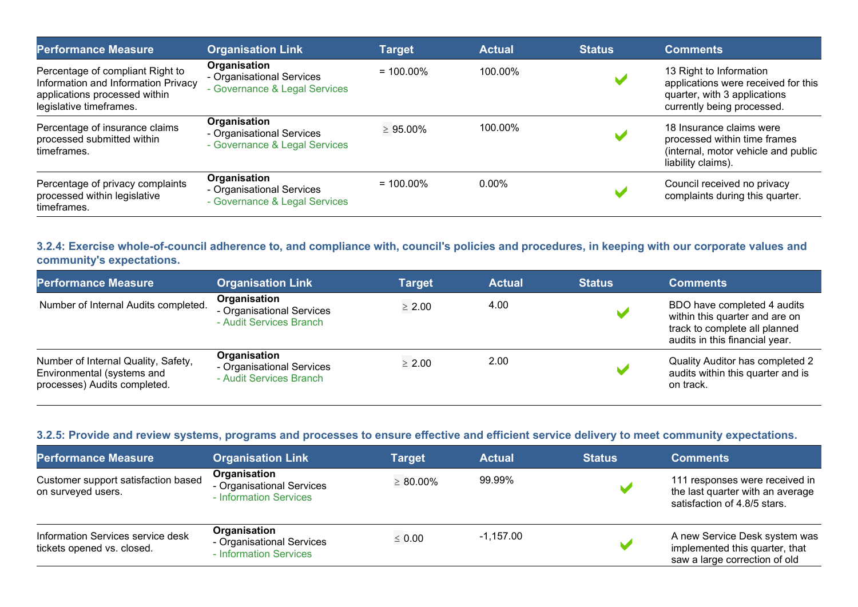| <b>Performance Measure</b>                                                                                                          | <b>Organisation Link</b>                                                   | <b>Target</b>  | <b>Actual</b> | <b>Status</b> | <b>Comments</b>                                                                                                              |
|-------------------------------------------------------------------------------------------------------------------------------------|----------------------------------------------------------------------------|----------------|---------------|---------------|------------------------------------------------------------------------------------------------------------------------------|
| Percentage of compliant Right to<br>Information and Information Privacy<br>applications processed within<br>legislative timeframes. | Organisation<br>- Organisational Services<br>- Governance & Legal Services | $= 100.00\%$   | 100.00%       |               | 13 Right to Information<br>applications were received for this<br>quarter, with 3 applications<br>currently being processed. |
| Percentage of insurance claims<br>processed submitted within<br>timeframes.                                                         | Organisation<br>- Organisational Services<br>- Governance & Legal Services | $\geq 95.00\%$ | 100.00%       |               | 18 Insurance claims were<br>processed within time frames<br>(internal, motor vehicle and public<br>liability claims).        |
| Percentage of privacy complaints<br>processed within legislative<br>timeframes.                                                     | Organisation<br>- Organisational Services<br>- Governance & Legal Services | $= 100.00\%$   | $0.00\%$      |               | Council received no privacy<br>complaints during this quarter.                                                               |

## **3.2.4: Exercise whole-of-council adherence to, and compliance with, council's policies and procedures, in keeping with our corporate values and community's expectations.**

| <b>Performance Measure</b>                                                                        | <b>Organisation Link</b>                                             | <b>Target</b> | <b>Actual</b> | <b>Status</b> | <b>Comments</b>                                                                                                                  |
|---------------------------------------------------------------------------------------------------|----------------------------------------------------------------------|---------------|---------------|---------------|----------------------------------------------------------------------------------------------------------------------------------|
| Number of Internal Audits completed.                                                              | Organisation<br>- Organisational Services<br>- Audit Services Branch | $\geq 2.00$   | 4.00          |               | BDO have completed 4 audits<br>within this quarter and are on<br>track to complete all planned<br>audits in this financial year. |
| Number of Internal Quality, Safety,<br>Environmental (systems and<br>processes) Audits completed. | Organisation<br>- Organisational Services<br>- Audit Services Branch | $\geq 2.00$   | 2.00          |               | Quality Auditor has completed 2<br>audits within this quarter and is<br>on track.                                                |

## **3.2.5: Provide and review systems, programs and processes to ensure effective and efficient service delivery to meet community expectations.**

| <b>Performance Measure</b>                                      | <b>Organisation Link</b>                                            | Target         | <b>Actual</b> | <b>Status</b> | <b>Comments</b>                                                                                    |
|-----------------------------------------------------------------|---------------------------------------------------------------------|----------------|---------------|---------------|----------------------------------------------------------------------------------------------------|
| Customer support satisfaction based<br>on surveyed users.       | Organisation<br>- Organisational Services<br>- Information Services | $\geq 80.00\%$ | 99.99%        |               | 111 responses were received in<br>the last quarter with an average<br>satisfaction of 4.8/5 stars. |
| Information Services service desk<br>tickets opened vs. closed. | Organisation<br>- Organisational Services<br>- Information Services | $\leq 0.00$    | $-1,157.00$   |               | A new Service Desk system was<br>implemented this quarter, that<br>saw a large correction of old   |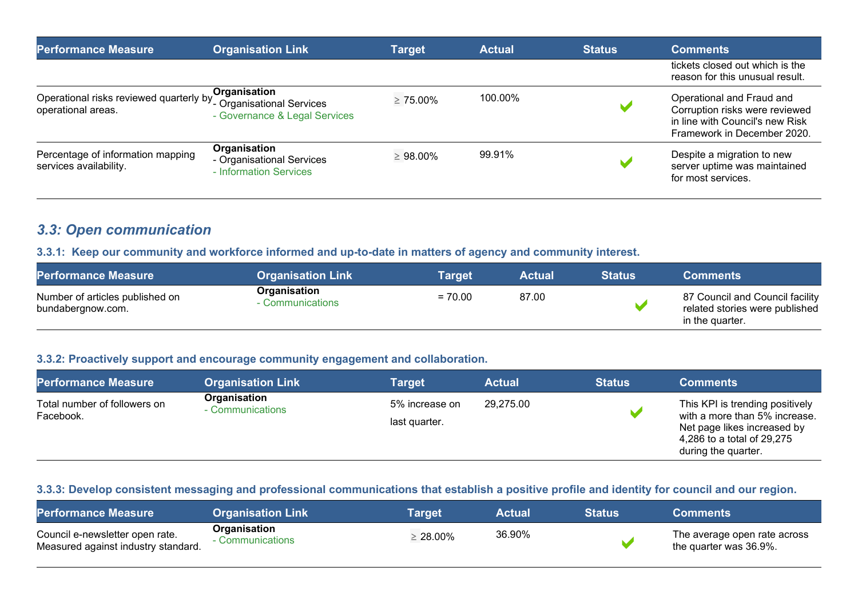| <b>Performance Measure</b>                                    | <b>Organisation Link</b>                                                   | Target         | <b>Actual</b> | <b>Status</b> | <b>Comments</b>                                                                                                               |
|---------------------------------------------------------------|----------------------------------------------------------------------------|----------------|---------------|---------------|-------------------------------------------------------------------------------------------------------------------------------|
|                                                               |                                                                            |                |               |               | tickets closed out which is the<br>reason for this unusual result.                                                            |
| Operational risks reviewed quarterly by<br>operational areas. | Organisation<br>- Organisational Services<br>- Governance & Legal Services | $\geq 75.00\%$ | 100.00%       |               | Operational and Fraud and<br>Corruption risks were reviewed<br>in line with Council's new Risk<br>Framework in December 2020. |
| Percentage of information mapping<br>services availability.   | Organisation<br>- Organisational Services<br>- Information Services        | $\geq 98.00\%$ | 99.91%        |               | Despite a migration to new<br>server uptime was maintained<br>for most services.                                              |

## *3.3: Open communication*

#### **3.3.1: Keep our community and workforce informed and up-to-date in matters of agency and community interest.**

| <b>Performance Measure</b>                           | <b>Organisation Link</b>         | Target    | <b>Actual</b> | <b>Status</b> | <b>Comments</b>                                                                      |
|------------------------------------------------------|----------------------------------|-----------|---------------|---------------|--------------------------------------------------------------------------------------|
| Number of articles published on<br>bundabergnow.com. | Organisation<br>- Communications | $= 70.00$ | 87.00         |               | 87 Council and Council facility<br>related stories were published<br>in the quarter. |

## **3.3.2: Proactively support and encourage community engagement and collaboration.**

| <b>Performance Measure</b>                | <b>Organisation Link</b>         | <b>Target</b> \                 | <b>Actual</b> | <b>Status</b> | <b>Comments</b>                                                                                                                                      |
|-------------------------------------------|----------------------------------|---------------------------------|---------------|---------------|------------------------------------------------------------------------------------------------------------------------------------------------------|
| Total number of followers on<br>Facebook. | Organisation<br>- Communications | 5% increase on<br>last quarter. | 29,275.00     |               | This KPI is trending positively<br>with a more than 5% increase.<br>Net page likes increased by<br>4,286 to a total of 29,275<br>during the quarter. |

#### **3.3.3: Develop consistent messaging and professional communications that establish a positive profile and identity for council and our region.**

| <b>Performance Measure</b>                                             | <b>Organisation Link</b>         | Tarɑet         | <b>Actual</b> | <b>Status</b> | <b>Comments</b>                                        |
|------------------------------------------------------------------------|----------------------------------|----------------|---------------|---------------|--------------------------------------------------------|
| Council e-newsletter open rate.<br>Measured against industry standard. | Organisation<br>- Communications | $\geq 28.00\%$ | 36.90%        |               | The average open rate across<br>the quarter was 36.9%. |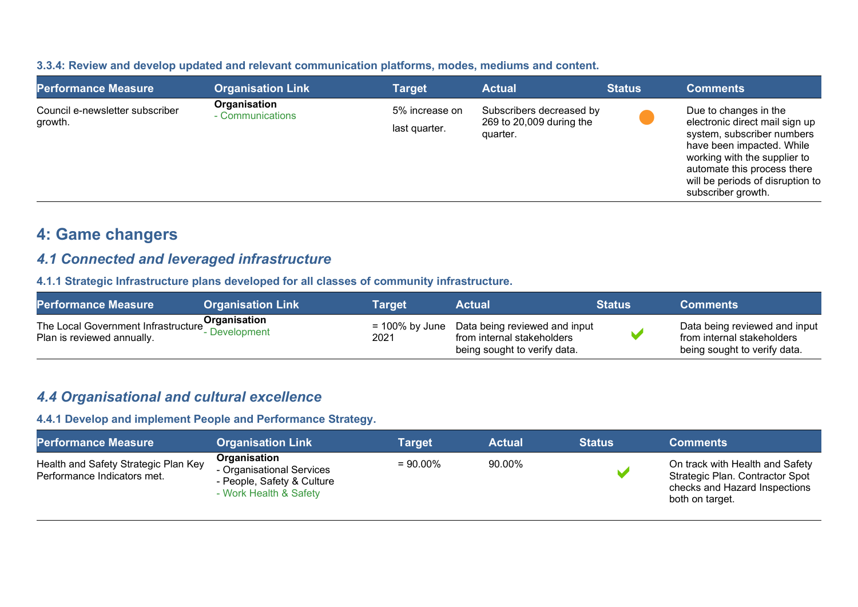| 3.3.4: Review and develop updated and relevant communication platforms, modes, mediums and content. |  |  |
|-----------------------------------------------------------------------------------------------------|--|--|
|-----------------------------------------------------------------------------------------------------|--|--|

| <b>Performance Measure</b>                 | <b>Organisation Link</b>         | <b>Target</b>                   | <b>Actual</b>                                                    | <b>Status</b> | <b>Comments</b>                                                                                                                                                                                                                             |
|--------------------------------------------|----------------------------------|---------------------------------|------------------------------------------------------------------|---------------|---------------------------------------------------------------------------------------------------------------------------------------------------------------------------------------------------------------------------------------------|
| Council e-newsletter subscriber<br>growth. | Organisation<br>- Communications | 5% increase on<br>last quarter. | Subscribers decreased by<br>269 to 20,009 during the<br>quarter. |               | Due to changes in the<br>electronic direct mail sign up<br>system, subscriber numbers<br>have been impacted. While<br>working with the supplier to<br>automate this process there<br>will be periods of disruption to<br>subscriber growth. |

# **4: Game changers**

## *4.1 Connected and leveraged infrastructure*

**4.1.1 Strategic Infrastructure plans developed for all classes of community infrastructure.**

| <b>Performance Measure</b>                                                       | <b>Organisation Link</b> | Target | Actual                                                                                                        | <b>Status</b> | <b>Comments</b>                                                                             |
|----------------------------------------------------------------------------------|--------------------------|--------|---------------------------------------------------------------------------------------------------------------|---------------|---------------------------------------------------------------------------------------------|
| The Local Government Infrastructure<br>Development<br>Plan is reviewed annually. |                          | 2021   | $= 100\%$ by June Data being reviewed and input<br>from internal stakeholders<br>being sought to verify data. |               | Data being reviewed and input<br>from internal stakeholders<br>being sought to verify data. |

## *4.4 Organisational and cultural excellence*

## **4.4.1 Develop and implement People and Performance Strategy.**

| <b>Performance Measure</b>                                          | <b>Organisation Link</b>                                                                          | Target      | <b>Actual</b> | <b>Status</b> | <b>Comments</b>                                                                                                        |
|---------------------------------------------------------------------|---------------------------------------------------------------------------------------------------|-------------|---------------|---------------|------------------------------------------------------------------------------------------------------------------------|
| Health and Safety Strategic Plan Key<br>Performance Indicators met. | Organisation<br>- Organisational Services<br>- People, Safety & Culture<br>- Work Health & Safety | $= 90.00\%$ | 90.00%        |               | On track with Health and Safety<br>Strategic Plan. Contractor Spot<br>checks and Hazard Inspections<br>both on target. |